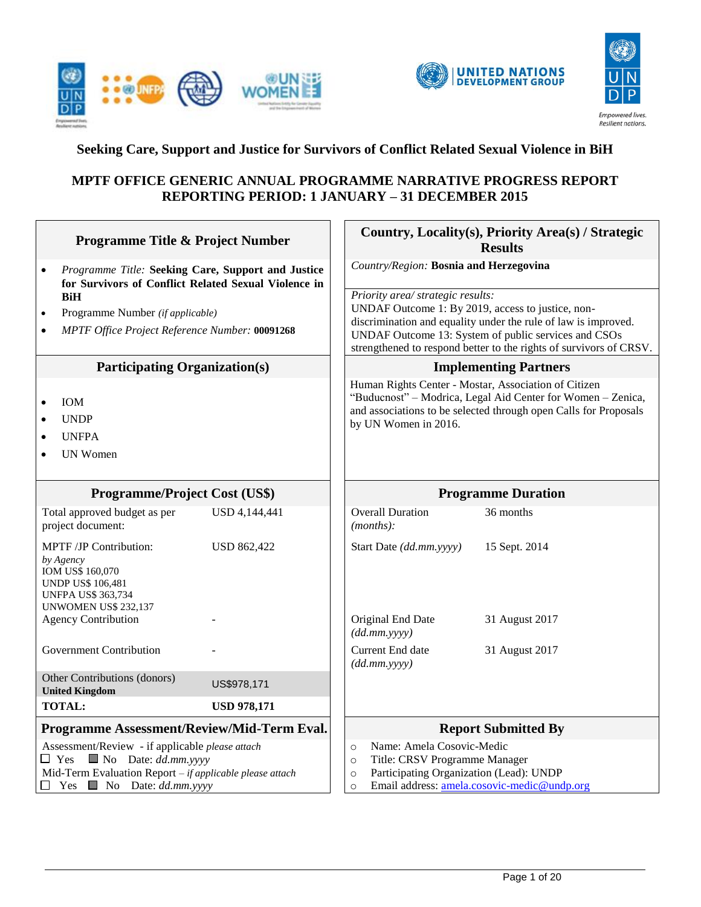





# **Seeking Care, Support and Justice for Survivors of Conflict Related Sexual Violence in BiH**

### **MPTF OFFICE GENERIC ANNUAL PROGRAMME NARRATIVE PROGRESS REPORT REPORTING PERIOD: 1 JANUARY – 31 DECEMBER 2015**

| <b>Programme Title &amp; Project Number</b>                                                                                                                           |  |                                                                                  | Country, Locality(s), Priority Area(s) / Strategic<br><b>Results</b>                                                                                                                    |  |
|-----------------------------------------------------------------------------------------------------------------------------------------------------------------------|--|----------------------------------------------------------------------------------|-----------------------------------------------------------------------------------------------------------------------------------------------------------------------------------------|--|
| Programme Title: Seeking Care, Support and Justice<br>$\bullet$<br>for Survivors of Conflict Related Sexual Violence in                                               |  | Country/Region: Bosnia and Herzegovina                                           |                                                                                                                                                                                         |  |
| <b>BiH</b>                                                                                                                                                            |  | Priority area/ strategic results:                                                | UNDAF Outcome 1: By 2019, access to justice, non-                                                                                                                                       |  |
| Programme Number (if applicable)<br>$\bullet$<br>MPTF Office Project Reference Number: 00091268<br>$\bullet$                                                          |  | discrimination and equality under the rule of law is improved.                   |                                                                                                                                                                                         |  |
|                                                                                                                                                                       |  |                                                                                  | UNDAF Outcome 13: System of public services and CSOs<br>strengthened to respond better to the rights of survivors of CRSV.                                                              |  |
| <b>Participating Organization(s)</b>                                                                                                                                  |  |                                                                                  | <b>Implementing Partners</b>                                                                                                                                                            |  |
| <b>IOM</b><br>$\bullet$<br><b>UNDP</b><br>$\bullet$<br><b>UNFPA</b><br>$\bullet$<br><b>UN Women</b>                                                                   |  | by UN Women in 2016.                                                             | Human Rights Center - Mostar, Association of Citizen<br>"Buducnost" - Modrica, Legal Aid Center for Women - Zenica,<br>and associations to be selected through open Calls for Proposals |  |
| <b>Programme/Project Cost (US\$)</b>                                                                                                                                  |  |                                                                                  | <b>Programme Duration</b>                                                                                                                                                               |  |
| Total approved budget as per<br>USD 4,144,441<br>project document:                                                                                                    |  | <b>Overall Duration</b><br>(months):                                             | 36 months                                                                                                                                                                               |  |
| MPTF /JP Contribution:<br><b>USD 862,422</b><br>by Agency<br>IOM US\$ 160,070<br><b>UNDP US\$ 106,481</b><br><b>UNFPA US\$ 363,734</b><br><b>UNWOMEN US\$ 232,137</b> |  | Start Date (dd.mm.yyyy)                                                          | 15 Sept. 2014                                                                                                                                                                           |  |
| <b>Agency Contribution</b>                                                                                                                                            |  | Original End Date<br>(dd.mm.yyyy)                                                | 31 August 2017                                                                                                                                                                          |  |
| <b>Government Contribution</b>                                                                                                                                        |  | Current End date<br>(dd.mm.yyyy)                                                 | 31 August 2017                                                                                                                                                                          |  |
| Other Contributions (donors)<br>US\$978,171<br><b>United Kingdom</b>                                                                                                  |  |                                                                                  |                                                                                                                                                                                         |  |
| <b>TOTAL:</b><br><b>USD 978,171</b>                                                                                                                                   |  |                                                                                  |                                                                                                                                                                                         |  |
| Programme Assessment/Review/Mid-Term Eval.                                                                                                                            |  |                                                                                  | <b>Report Submitted By</b>                                                                                                                                                              |  |
| Assessment/Review - if applicable please attach<br>$\blacksquare$ No Date: dd.mm.yyyy<br>$\Box$ Yes                                                                   |  | Name: Amela Cosovic-Medic<br>$\circ$<br>Title: CRSV Programme Manager<br>$\circ$ |                                                                                                                                                                                         |  |
| Mid-Term Evaluation Report - if applicable please attach<br>Yes $\blacksquare$ No Date: dd.mm.yyyy<br>П                                                               |  | Participating Organization (Lead): UNDP<br>$\circ$<br>$\circ$                    | Email address: amela.cosovic-medic@undp.org                                                                                                                                             |  |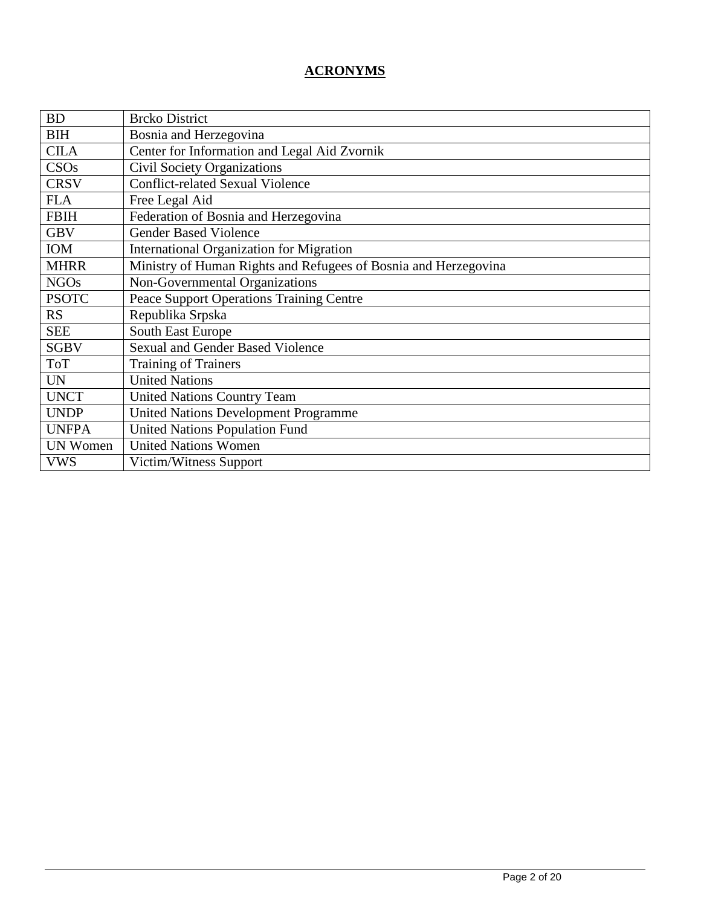# **ACRONYMS**

| <b>BD</b>        | <b>Brcko District</b>                                           |
|------------------|-----------------------------------------------------------------|
| <b>BIH</b>       | Bosnia and Herzegovina                                          |
| <b>CILA</b>      | Center for Information and Legal Aid Zvornik                    |
| CSO <sub>s</sub> | <b>Civil Society Organizations</b>                              |
| <b>CRSV</b>      | <b>Conflict-related Sexual Violence</b>                         |
| <b>FLA</b>       | Free Legal Aid                                                  |
| <b>FBIH</b>      | Federation of Bosnia and Herzegovina                            |
| <b>GBV</b>       | <b>Gender Based Violence</b>                                    |
| <b>IOM</b>       | <b>International Organization for Migration</b>                 |
| <b>MHRR</b>      | Ministry of Human Rights and Refugees of Bosnia and Herzegovina |
| <b>NGOs</b>      | Non-Governmental Organizations                                  |
| <b>PSOTC</b>     | <b>Peace Support Operations Training Centre</b>                 |
| <b>RS</b>        | Republika Srpska                                                |
| <b>SEE</b>       | South East Europe                                               |
| <b>SGBV</b>      | <b>Sexual and Gender Based Violence</b>                         |
| <b>ToT</b>       | Training of Trainers                                            |
| <b>UN</b>        | <b>United Nations</b>                                           |
| <b>UNCT</b>      | <b>United Nations Country Team</b>                              |
| <b>UNDP</b>      | <b>United Nations Development Programme</b>                     |
| <b>UNFPA</b>     | <b>United Nations Population Fund</b>                           |
| <b>UN Women</b>  | <b>United Nations Women</b>                                     |
| <b>VWS</b>       | Victim/Witness Support                                          |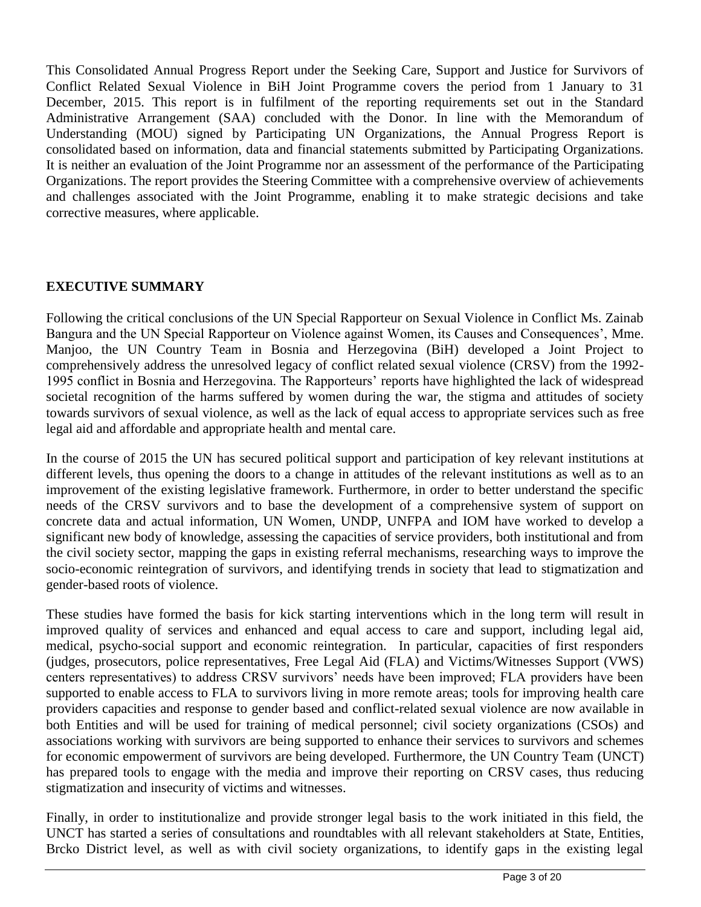This Consolidated Annual Progress Report under the Seeking Care, Support and Justice for Survivors of Conflict Related Sexual Violence in BiH Joint Programme covers the period from 1 January to 31 December, 2015. This report is in fulfilment of the reporting requirements set out in the Standard Administrative Arrangement (SAA) concluded with the Donor. In line with the Memorandum of Understanding (MOU) signed by Participating UN Organizations, the Annual Progress Report is consolidated based on information, data and financial statements submitted by Participating Organizations. It is neither an evaluation of the Joint Programme nor an assessment of the performance of the Participating Organizations. The report provides the Steering Committee with a comprehensive overview of achievements and challenges associated with the Joint Programme, enabling it to make strategic decisions and take corrective measures, where applicable.

# **EXECUTIVE SUMMARY**

Following the critical conclusions of the UN Special Rapporteur on Sexual Violence in Conflict Ms. Zainab Bangura and the UN Special Rapporteur on Violence against Women, its Causes and Consequences', Mme. Manjoo, the UN Country Team in Bosnia and Herzegovina (BiH) developed a Joint Project to comprehensively address the unresolved legacy of conflict related sexual violence (CRSV) from the 1992- 1995 conflict in Bosnia and Herzegovina. The Rapporteurs' reports have highlighted the lack of widespread societal recognition of the harms suffered by women during the war, the stigma and attitudes of society towards survivors of sexual violence, as well as the lack of equal access to appropriate services such as free legal aid and affordable and appropriate health and mental care.

In the course of 2015 the UN has secured political support and participation of key relevant institutions at different levels, thus opening the doors to a change in attitudes of the relevant institutions as well as to an improvement of the existing legislative framework. Furthermore, in order to better understand the specific needs of the CRSV survivors and to base the development of a comprehensive system of support on concrete data and actual information, UN Women, UNDP, UNFPA and IOM have worked to develop a significant new body of knowledge, assessing the capacities of service providers, both institutional and from the civil society sector, mapping the gaps in existing referral mechanisms, researching ways to improve the socio-economic reintegration of survivors, and identifying trends in society that lead to stigmatization and gender-based roots of violence.

These studies have formed the basis for kick starting interventions which in the long term will result in improved quality of services and enhanced and equal access to care and support, including legal aid, medical, psycho-social support and economic reintegration. In particular, capacities of first responders (judges, prosecutors, police representatives, Free Legal Aid (FLA) and Victims/Witnesses Support (VWS) centers representatives) to address CRSV survivors' needs have been improved; FLA providers have been supported to enable access to FLA to survivors living in more remote areas; tools for improving health care providers capacities and response to gender based and conflict-related sexual violence are now available in both Entities and will be used for training of medical personnel; civil society organizations (CSOs) and associations working with survivors are being supported to enhance their services to survivors and schemes for economic empowerment of survivors are being developed. Furthermore, the UN Country Team (UNCT) has prepared tools to engage with the media and improve their reporting on CRSV cases, thus reducing stigmatization and insecurity of victims and witnesses.

Finally, in order to institutionalize and provide stronger legal basis to the work initiated in this field, the UNCT has started a series of consultations and roundtables with all relevant stakeholders at State, Entities, Brcko District level, as well as with civil society organizations, to identify gaps in the existing legal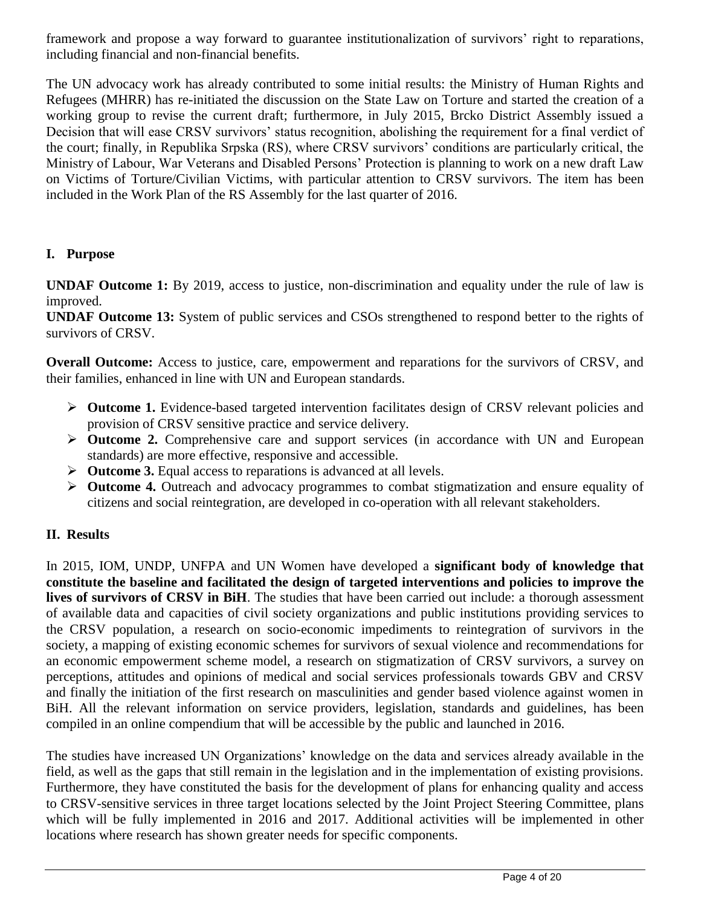framework and propose a way forward to guarantee institutionalization of survivors' right to reparations, including financial and non-financial benefits.

The UN advocacy work has already contributed to some initial results: the Ministry of Human Rights and Refugees (MHRR) has re-initiated the discussion on the State Law on Torture and started the creation of a working group to revise the current draft; furthermore, in July 2015, Brcko District Assembly issued a Decision that will ease CRSV survivors' status recognition, abolishing the requirement for a final verdict of the court; finally, in Republika Srpska (RS), where CRSV survivors' conditions are particularly critical, the Ministry of Labour, War Veterans and Disabled Persons' Protection is planning to work on a new draft Law on Victims of Torture/Civilian Victims, with particular attention to CRSV survivors. The item has been included in the Work Plan of the RS Assembly for the last quarter of 2016.

## **I. Purpose**

**UNDAF Outcome 1:** By 2019, access to justice, non-discrimination and equality under the rule of law is improved.

**UNDAF Outcome 13:** System of public services and CSOs strengthened to respond better to the rights of survivors of CRSV.

**Overall Outcome:** Access to justice, care, empowerment and reparations for the survivors of CRSV, and their families, enhanced in line with UN and European standards.

- **► Outcome 1.** Evidence-based targeted intervention facilitates design of CRSV relevant policies and provision of CRSV sensitive practice and service delivery.
- **Outcome 2.** Comprehensive care and support services (in accordance with UN and European standards) are more effective, responsive and accessible.
- **Outcome 3.** Equal access to reparations is advanced at all levels.
- **Outcome 4.** Outreach and advocacy programmes to combat stigmatization and ensure equality of citizens and social reintegration, are developed in co-operation with all relevant stakeholders.

# **II. Results**

In 2015, IOM, UNDP, UNFPA and UN Women have developed a **significant body of knowledge that constitute the baseline and facilitated the design of targeted interventions and policies to improve the lives of survivors of CRSV in BiH**. The studies that have been carried out include: a thorough assessment of available data and capacities of civil society organizations and public institutions providing services to the CRSV population, a research on socio-economic impediments to reintegration of survivors in the society, a mapping of existing economic schemes for survivors of sexual violence and recommendations for an economic empowerment scheme model, a research on stigmatization of CRSV survivors, a survey on perceptions, attitudes and opinions of medical and social services professionals towards GBV and CRSV and finally the initiation of the first research on masculinities and gender based violence against women in BiH. All the relevant information on service providers, legislation, standards and guidelines, has been compiled in an online compendium that will be accessible by the public and launched in 2016.

The studies have increased UN Organizations' knowledge on the data and services already available in the field, as well as the gaps that still remain in the legislation and in the implementation of existing provisions. Furthermore, they have constituted the basis for the development of plans for enhancing quality and access to CRSV-sensitive services in three target locations selected by the Joint Project Steering Committee, plans which will be fully implemented in 2016 and 2017. Additional activities will be implemented in other locations where research has shown greater needs for specific components.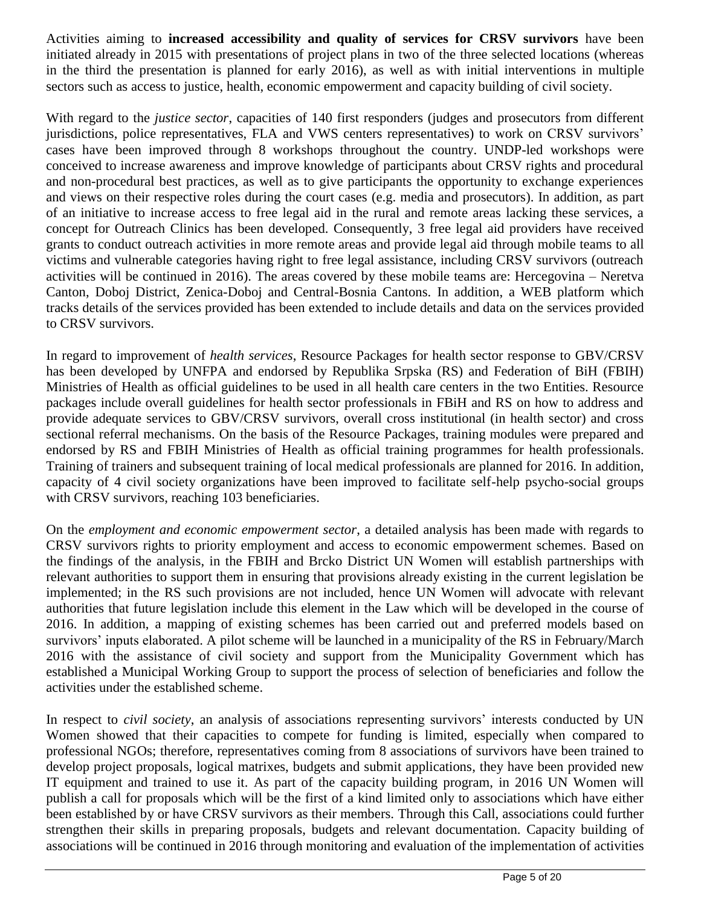Activities aiming to **increased accessibility and quality of services for CRSV survivors** have been initiated already in 2015 with presentations of project plans in two of the three selected locations (whereas in the third the presentation is planned for early 2016), as well as with initial interventions in multiple sectors such as access to justice, health, economic empowerment and capacity building of civil society.

With regard to the *justice sector*, capacities of 140 first responders (judges and prosecutors from different jurisdictions, police representatives, FLA and VWS centers representatives) to work on CRSV survivors' cases have been improved through 8 workshops throughout the country. UNDP-led workshops were conceived to increase awareness and improve knowledge of participants about CRSV rights and procedural and non-procedural best practices, as well as to give participants the opportunity to exchange experiences and views on their respective roles during the court cases (e.g. media and prosecutors). In addition, as part of an initiative to increase access to free legal aid in the rural and remote areas lacking these services, a concept for Outreach Clinics has been developed. Consequently, 3 free legal aid providers have received grants to conduct outreach activities in more remote areas and provide legal aid through mobile teams to all victims and vulnerable categories having right to free legal assistance, including CRSV survivors (outreach activities will be continued in 2016). The areas covered by these mobile teams are: Hercegovina – Neretva Canton, Doboj District, Zenica-Doboj and Central-Bosnia Cantons. In addition, a WEB platform which tracks details of the services provided has been extended to include details and data on the services provided to CRSV survivors.

In regard to improvement of *health services*, Resource Packages for health sector response to GBV/CRSV has been developed by UNFPA and endorsed by Republika Srpska (RS) and Federation of BiH (FBIH) Ministries of Health as official guidelines to be used in all health care centers in the two Entities. Resource packages include overall guidelines for health sector professionals in FBiH and RS on how to address and provide adequate services to GBV/CRSV survivors, overall cross institutional (in health sector) and cross sectional referral mechanisms. On the basis of the Resource Packages, training modules were prepared and endorsed by RS and FBIH Ministries of Health as official training programmes for health professionals. Training of trainers and subsequent training of local medical professionals are planned for 2016. In addition, capacity of 4 civil society organizations have been improved to facilitate self-help psycho-social groups with CRSV survivors, reaching 103 beneficiaries.

On the *employment and economic empowerment sector*, a detailed analysis has been made with regards to CRSV survivors rights to priority employment and access to economic empowerment schemes. Based on the findings of the analysis, in the FBIH and Brcko District UN Women will establish partnerships with relevant authorities to support them in ensuring that provisions already existing in the current legislation be implemented; in the RS such provisions are not included, hence UN Women will advocate with relevant authorities that future legislation include this element in the Law which will be developed in the course of 2016. In addition, a mapping of existing schemes has been carried out and preferred models based on survivors' inputs elaborated. A pilot scheme will be launched in a municipality of the RS in February/March 2016 with the assistance of civil society and support from the Municipality Government which has established a Municipal Working Group to support the process of selection of beneficiaries and follow the activities under the established scheme.

In respect to *civil society*, an analysis of associations representing survivors' interests conducted by UN Women showed that their capacities to compete for funding is limited, especially when compared to professional NGOs; therefore, representatives coming from 8 associations of survivors have been trained to develop project proposals, logical matrixes, budgets and submit applications, they have been provided new IT equipment and trained to use it. As part of the capacity building program, in 2016 UN Women will publish a call for proposals which will be the first of a kind limited only to associations which have either been established by or have CRSV survivors as their members. Through this Call, associations could further strengthen their skills in preparing proposals, budgets and relevant documentation. Capacity building of associations will be continued in 2016 through monitoring and evaluation of the implementation of activities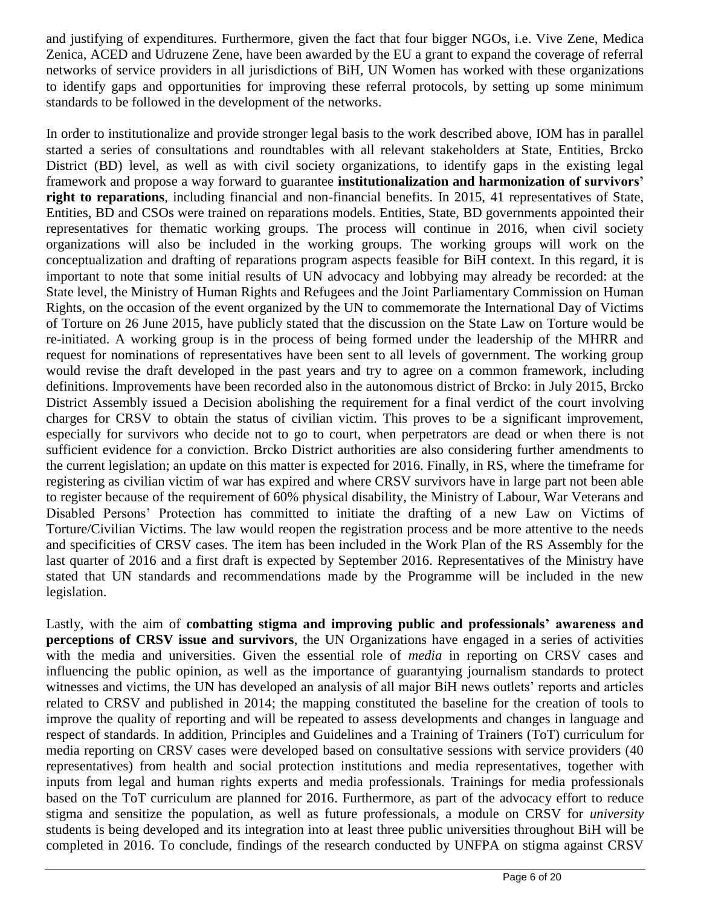and justifying of expenditures. Furthermore, given the fact that four bigger NGOs, i.e. Vive Zene, Medica Zenica, ACED and Udruzene Zene, have been awarded by the EU a grant to expand the coverage of referral networks of service providers in all jurisdictions of BiH, UN Women has worked with these organizations to identify gaps and opportunities for improving these referral protocols, by setting up some minimum standards to be followed in the development of the networks.

In order to institutionalize and provide stronger legal basis to the work described above, IOM has in parallel started a series of consultations and roundtables with all relevant stakeholders at State, Entities, Brcko District (BD) level, as well as with civil society organizations, to identify gaps in the existing legal framework and propose a way forward to guarantee **institutionalization and harmonization of survivors' right to reparations**, including financial and non-financial benefits. In 2015, 41 representatives of State, Entities, BD and CSOs were trained on reparations models. Entities, State, BD governments appointed their representatives for thematic working groups. The process will continue in 2016, when civil society organizations will also be included in the working groups. The working groups will work on the conceptualization and drafting of reparations program aspects feasible for BiH context. In this regard, it is important to note that some initial results of UN advocacy and lobbying may already be recorded: at the State level, the Ministry of Human Rights and Refugees and the Joint Parliamentary Commission on Human Rights, on the occasion of the event organized by the UN to commemorate the International Day of Victims of Torture on 26 June 2015, have publicly stated that the discussion on the State Law on Torture would be re-initiated. A working group is in the process of being formed under the leadership of the MHRR and request for nominations of representatives have been sent to all levels of government. The working group would revise the draft developed in the past years and try to agree on a common framework, including definitions. Improvements have been recorded also in the autonomous district of Brcko: in July 2015, Brcko District Assembly issued a Decision abolishing the requirement for a final verdict of the court involving charges for CRSV to obtain the status of civilian victim. This proves to be a significant improvement, especially for survivors who decide not to go to court, when perpetrators are dead or when there is not sufficient evidence for a conviction. Brcko District authorities are also considering further amendments to the current legislation; an update on this matter is expected for 2016. Finally, in RS, where the timeframe for registering as civilian victim of war has expired and where CRSV survivors have in large part not been able to register because of the requirement of 60% physical disability, the Ministry of Labour, War Veterans and Disabled Persons' Protection has committed to initiate the drafting of a new Law on Victims of Torture/Civilian Victims. The law would reopen the registration process and be more attentive to the needs and specificities of CRSV cases. The item has been included in the Work Plan of the RS Assembly for the last quarter of 2016 and a first draft is expected by September 2016. Representatives of the Ministry have stated that UN standards and recommendations made by the Programme will be included in the new legislation.

Lastly, with the aim of **combatting stigma and improving public and professionals' awareness and perceptions of CRSV issue and survivors**, the UN Organizations have engaged in a series of activities with the media and universities. Given the essential role of *media* in reporting on CRSV cases and influencing the public opinion, as well as the importance of guarantying journalism standards to protect witnesses and victims, the UN has developed an analysis of all major BiH news outlets' reports and articles related to CRSV and published in 2014; the mapping constituted the baseline for the creation of tools to improve the quality of reporting and will be repeated to assess developments and changes in language and respect of standards. In addition, Principles and Guidelines and a Training of Trainers (ToT) curriculum for media reporting on CRSV cases were developed based on consultative sessions with service providers (40 representatives) from health and social protection institutions and media representatives, together with inputs from legal and human rights experts and media professionals. Trainings for media professionals based on the ToT curriculum are planned for 2016. Furthermore, as part of the advocacy effort to reduce stigma and sensitize the population, as well as future professionals, a module on CRSV for *university* students is being developed and its integration into at least three public universities throughout BiH will be completed in 2016. To conclude, findings of the research conducted by UNFPA on stigma against CRSV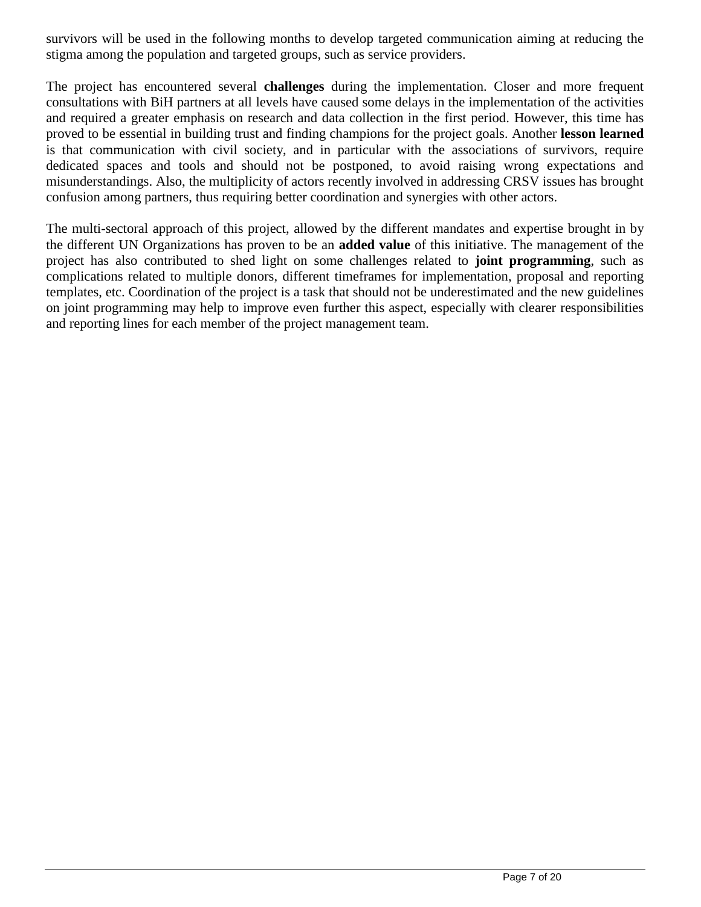survivors will be used in the following months to develop targeted communication aiming at reducing the stigma among the population and targeted groups, such as service providers.

The project has encountered several **challenges** during the implementation. Closer and more frequent consultations with BiH partners at all levels have caused some delays in the implementation of the activities and required a greater emphasis on research and data collection in the first period. However, this time has proved to be essential in building trust and finding champions for the project goals. Another **lesson learned**  is that communication with civil society, and in particular with the associations of survivors, require dedicated spaces and tools and should not be postponed, to avoid raising wrong expectations and misunderstandings. Also, the multiplicity of actors recently involved in addressing CRSV issues has brought confusion among partners, thus requiring better coordination and synergies with other actors.

The multi-sectoral approach of this project, allowed by the different mandates and expertise brought in by the different UN Organizations has proven to be an **added value** of this initiative. The management of the project has also contributed to shed light on some challenges related to **joint programming**, such as complications related to multiple donors, different timeframes for implementation, proposal and reporting templates, etc. Coordination of the project is a task that should not be underestimated and the new guidelines on joint programming may help to improve even further this aspect, especially with clearer responsibilities and reporting lines for each member of the project management team.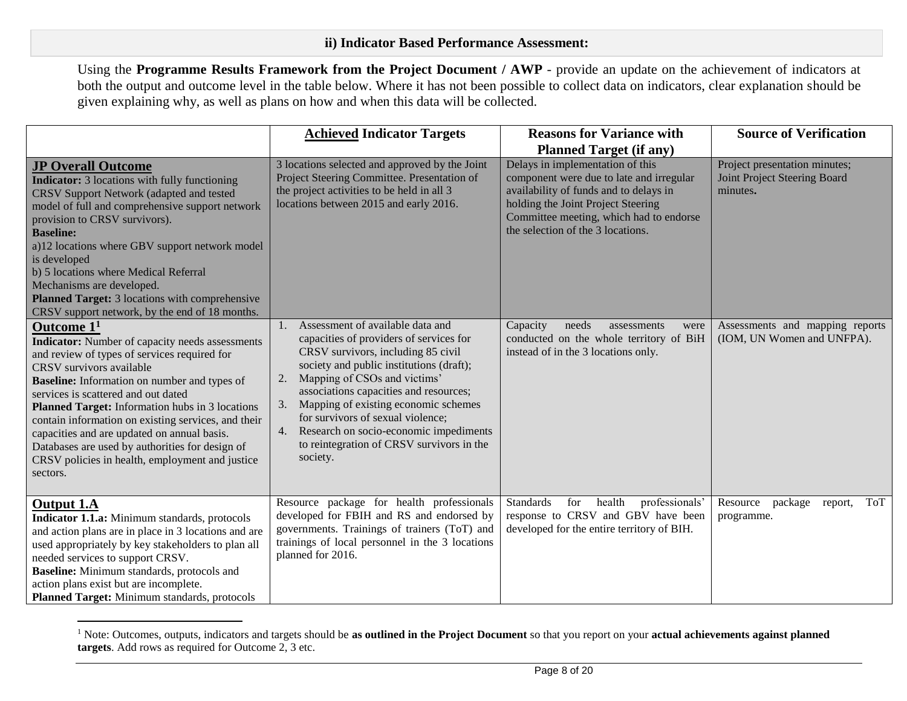Using the **Programme Results Framework from the Project Document / AWP** - provide an update on the achievement of indicators at both the output and outcome level in the table below. Where it has not been possible to collect data on indicators, clear explanation should be given explaining why, as well as plans on how and when this data will be collected.

|                                                                                                                                                                                                                                                                                                                                                                                                                                                                                                                             | <b>Achieved Indicator Targets</b>                                                                                                                                                                                                                                                                                                                                                                                                               | <b>Reasons for Variance with</b>                                                                                                                                                                                                                                               | <b>Source of Verification</b>                                             |
|-----------------------------------------------------------------------------------------------------------------------------------------------------------------------------------------------------------------------------------------------------------------------------------------------------------------------------------------------------------------------------------------------------------------------------------------------------------------------------------------------------------------------------|-------------------------------------------------------------------------------------------------------------------------------------------------------------------------------------------------------------------------------------------------------------------------------------------------------------------------------------------------------------------------------------------------------------------------------------------------|--------------------------------------------------------------------------------------------------------------------------------------------------------------------------------------------------------------------------------------------------------------------------------|---------------------------------------------------------------------------|
| <b>JP Overall Outcome</b><br><b>Indicator:</b> 3 locations with fully functioning<br>CRSV Support Network (adapted and tested<br>model of full and comprehensive support network<br>provision to CRSV survivors).<br><b>Baseline:</b><br>a)12 locations where GBV support network model<br>is developed<br>b) 5 locations where Medical Referral<br>Mechanisms are developed.<br>Planned Target: 3 locations with comprehensive<br>CRSV support network, by the end of 18 months.                                           | 3 locations selected and approved by the Joint<br>Project Steering Committee. Presentation of<br>the project activities to be held in all 3<br>locations between 2015 and early 2016.                                                                                                                                                                                                                                                           | <b>Planned Target (if any)</b><br>Delays in implementation of this<br>component were due to late and irregular<br>availability of funds and to delays in<br>holding the Joint Project Steering<br>Committee meeting, which had to endorse<br>the selection of the 3 locations. | Project presentation minutes;<br>Joint Project Steering Board<br>minutes. |
| Outcome $11$<br><b>Indicator:</b> Number of capacity needs assessments<br>and review of types of services required for<br>CRSV survivors available<br><b>Baseline:</b> Information on number and types of<br>services is scattered and out dated<br>Planned Target: Information hubs in 3 locations<br>contain information on existing services, and their<br>capacities and are updated on annual basis.<br>Databases are used by authorities for design of<br>CRSV policies in health, employment and justice<br>sectors. | Assessment of available data and<br>1.<br>capacities of providers of services for<br>CRSV survivors, including 85 civil<br>society and public institutions (draft);<br>Mapping of CSOs and victims'<br>2.<br>associations capacities and resources;<br>Mapping of existing economic schemes<br>3.<br>for survivors of sexual violence;<br>Research on socio-economic impediments<br>4.<br>to reintegration of CRSV survivors in the<br>society. | Capacity<br>needs<br>assessments<br>were<br>conducted on the whole territory of BiH<br>instead of in the 3 locations only.                                                                                                                                                     | Assessments and mapping reports<br>(IOM, UN Women and UNFPA).             |
| <b>Output 1.A</b><br>Indicator 1.1.a: Minimum standards, protocols<br>and action plans are in place in 3 locations and are<br>used appropriately by key stakeholders to plan all<br>needed services to support CRSV.<br>Baseline: Minimum standards, protocols and<br>action plans exist but are incomplete.<br>Planned Target: Minimum standards, protocols                                                                                                                                                                | Resource package for health professionals<br>developed for FBIH and RS and endorsed by<br>governments. Trainings of trainers (ToT) and<br>trainings of local personnel in the 3 locations<br>planned for 2016.                                                                                                                                                                                                                                  | health<br><b>Standards</b><br>professionals'<br>for<br>response to CRSV and GBV have been<br>developed for the entire territory of BIH.                                                                                                                                        | Resource<br>package<br><b>ToT</b><br>report,<br>programme.                |

<sup>1</sup> Note: Outcomes, outputs, indicators and targets should be **as outlined in the Project Document** so that you report on your **actual achievements against planned targets**. Add rows as required for Outcome 2, 3 etc.

 $\overline{a}$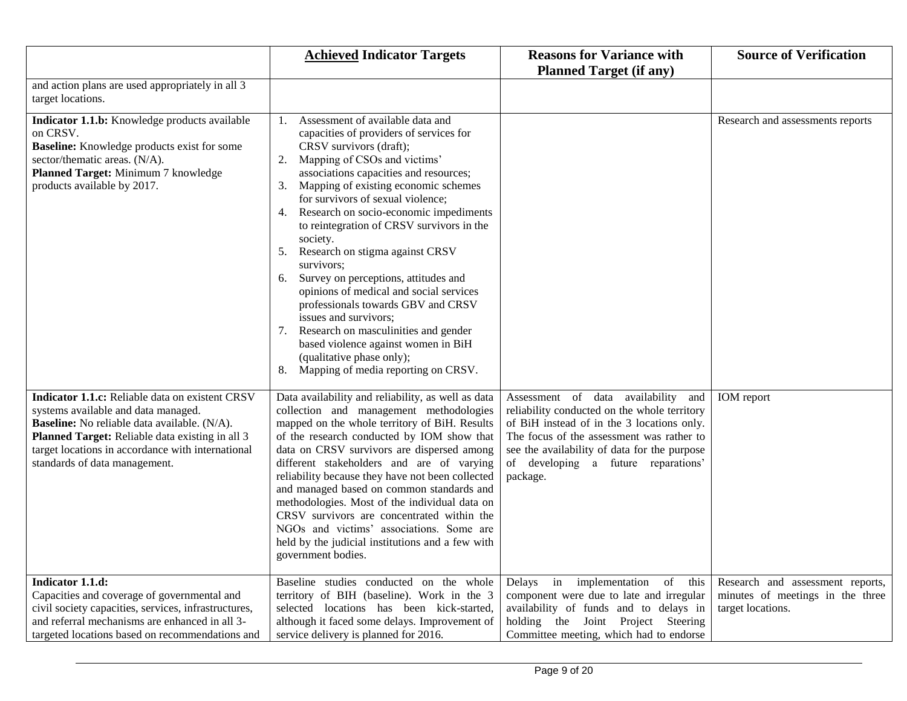|                                                                                                                                                                                                                                                                                        | <b>Achieved Indicator Targets</b>                                                                                                                                                                                                                                                                                                                                                                                                                                                                                                                                                                                                                                                                                                                                      | <b>Reasons for Variance with</b><br><b>Planned Target (if any)</b>                                                                                                                                                                                                                   | <b>Source of Verification</b>                                                             |
|----------------------------------------------------------------------------------------------------------------------------------------------------------------------------------------------------------------------------------------------------------------------------------------|------------------------------------------------------------------------------------------------------------------------------------------------------------------------------------------------------------------------------------------------------------------------------------------------------------------------------------------------------------------------------------------------------------------------------------------------------------------------------------------------------------------------------------------------------------------------------------------------------------------------------------------------------------------------------------------------------------------------------------------------------------------------|--------------------------------------------------------------------------------------------------------------------------------------------------------------------------------------------------------------------------------------------------------------------------------------|-------------------------------------------------------------------------------------------|
| and action plans are used appropriately in all 3<br>target locations.                                                                                                                                                                                                                  |                                                                                                                                                                                                                                                                                                                                                                                                                                                                                                                                                                                                                                                                                                                                                                        |                                                                                                                                                                                                                                                                                      |                                                                                           |
| Indicator 1.1.b: Knowledge products available<br>on CRSV.<br><b>Baseline:</b> Knowledge products exist for some<br>sector/thematic areas. (N/A).<br>Planned Target: Minimum 7 knowledge<br>products available by 2017.                                                                 | Assessment of available data and<br>1.<br>capacities of providers of services for<br>CRSV survivors (draft);<br>Mapping of CSOs and victims'<br>2.<br>associations capacities and resources;<br>Mapping of existing economic schemes<br>3.<br>for survivors of sexual violence;<br>Research on socio-economic impediments<br>4.<br>to reintegration of CRSV survivors in the<br>society.<br>Research on stigma against CRSV<br>5.<br>survivors;<br>Survey on perceptions, attitudes and<br>6.<br>opinions of medical and social services<br>professionals towards GBV and CRSV<br>issues and survivors;<br>Research on masculinities and gender<br>7.<br>based violence against women in BiH<br>(qualitative phase only);<br>Mapping of media reporting on CRSV.<br>8. |                                                                                                                                                                                                                                                                                      | Research and assessments reports                                                          |
| Indicator 1.1.c: Reliable data on existent CRSV<br>systems available and data managed.<br><b>Baseline:</b> No reliable data available. (N/A).<br>Planned Target: Reliable data existing in all 3<br>target locations in accordance with international<br>standards of data management. | Data availability and reliability, as well as data<br>collection and management methodologies<br>mapped on the whole territory of BiH. Results<br>of the research conducted by IOM show that<br>data on CRSV survivors are dispersed among<br>different stakeholders and are of varying<br>reliability because they have not been collected<br>and managed based on common standards and<br>methodologies. Most of the individual data on<br>CRSV survivors are concentrated within the<br>NGOs and victims' associations. Some are<br>held by the judicial institutions and a few with<br>government bodies.                                                                                                                                                          | Assessment of data availability<br>and<br>reliability conducted on the whole territory<br>of BiH instead of in the 3 locations only.<br>The focus of the assessment was rather to<br>see the availability of data for the purpose<br>of developing a future reparations'<br>package. | IOM report                                                                                |
| Indicator 1.1.d:<br>Capacities and coverage of governmental and<br>civil society capacities, services, infrastructures,<br>and referral mechanisms are enhanced in all 3-<br>targeted locations based on recommendations and                                                           | Baseline studies conducted on the whole<br>territory of BIH (baseline). Work in the 3<br>selected locations has been kick-started,<br>although it faced some delays. Improvement of<br>service delivery is planned for 2016.                                                                                                                                                                                                                                                                                                                                                                                                                                                                                                                                           | Delays in implementation of this<br>component were due to late and irregular<br>availability of funds and to delays in<br>holding the Joint Project Steering<br>Committee meeting, which had to endorse                                                                              | Research and assessment reports,<br>minutes of meetings in the three<br>target locations. |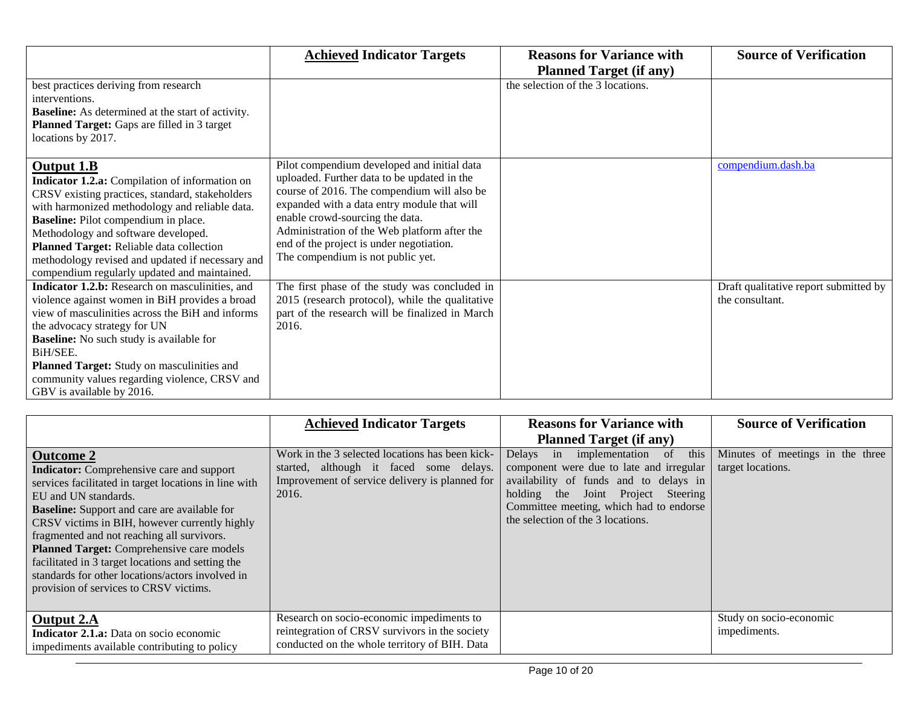|                                                                                                                                                                                                                                                                                                                                                                                                  | <b>Achieved Indicator Targets</b>                                                                                                                                                                                                                                                                                                                            | <b>Reasons for Variance with</b>  | <b>Source of Verification</b>                            |
|--------------------------------------------------------------------------------------------------------------------------------------------------------------------------------------------------------------------------------------------------------------------------------------------------------------------------------------------------------------------------------------------------|--------------------------------------------------------------------------------------------------------------------------------------------------------------------------------------------------------------------------------------------------------------------------------------------------------------------------------------------------------------|-----------------------------------|----------------------------------------------------------|
|                                                                                                                                                                                                                                                                                                                                                                                                  |                                                                                                                                                                                                                                                                                                                                                              | <b>Planned Target (if any)</b>    |                                                          |
| best practices deriving from research<br>interventions.<br><b>Baseline:</b> As determined at the start of activity.<br>Planned Target: Gaps are filled in 3 target<br>locations by 2017.                                                                                                                                                                                                         |                                                                                                                                                                                                                                                                                                                                                              | the selection of the 3 locations. |                                                          |
| Output 1.B<br>Indicator 1.2.a: Compilation of information on<br>CRSV existing practices, standard, stakeholders<br>with harmonized methodology and reliable data.<br>Baseline: Pilot compendium in place.<br>Methodology and software developed.<br>Planned Target: Reliable data collection<br>methodology revised and updated if necessary and<br>compendium regularly updated and maintained. | Pilot compendium developed and initial data<br>uploaded. Further data to be updated in the<br>course of 2016. The compendium will also be<br>expanded with a data entry module that will<br>enable crowd-sourcing the data.<br>Administration of the Web platform after the<br>end of the project is under negotiation.<br>The compendium is not public yet. |                                   | compendium.dash.ba                                       |
| Indicator 1.2.b: Research on masculinities, and<br>violence against women in BiH provides a broad<br>view of masculinities across the BiH and informs<br>the advocacy strategy for UN<br><b>Baseline:</b> No such study is available for<br>BiH/SEE.<br>Planned Target: Study on masculinities and<br>community values regarding violence, CRSV and<br>GBV is available by 2016.                 | The first phase of the study was concluded in<br>2015 (research protocol), while the qualitative<br>part of the research will be finalized in March<br>2016.                                                                                                                                                                                                 |                                   | Draft qualitative report submitted by<br>the consultant. |

|                                                                                                                                                                                                                                                                                                                                                                                                                                                                                                             | <b>Achieved Indicator Targets</b>                                                                                                                     | <b>Reasons for Variance with</b><br><b>Planned Target (if any)</b>                                                                                                                                                                                               | <b>Source of Verification</b>                         |
|-------------------------------------------------------------------------------------------------------------------------------------------------------------------------------------------------------------------------------------------------------------------------------------------------------------------------------------------------------------------------------------------------------------------------------------------------------------------------------------------------------------|-------------------------------------------------------------------------------------------------------------------------------------------------------|------------------------------------------------------------------------------------------------------------------------------------------------------------------------------------------------------------------------------------------------------------------|-------------------------------------------------------|
| <b>Outcome 2</b><br><b>Indicator:</b> Comprehensive care and support<br>services facilitated in target locations in line with<br>EU and UN standards.<br><b>Baseline:</b> Support and care are available for<br>CRSV victims in BIH, however currently highly<br>fragmented and not reaching all survivors.<br>Planned Target: Comprehensive care models<br>facilitated in 3 target locations and setting the<br>standards for other locations/actors involved in<br>provision of services to CRSV victims. | Work in the 3 selected locations has been kick-<br>started, although it faced some delays.<br>Improvement of service delivery is planned for<br>2016. | this<br>Delays in implementation<br><sub>of</sub><br>component were due to late and irregular<br>availability of funds and to delays in<br>holding the<br>Joint Project Steering<br>Committee meeting, which had to endorse<br>the selection of the 3 locations. | Minutes of meetings in the three<br>target locations. |
| <b>Output 2.A</b><br><b>Indicator 2.1.a:</b> Data on socio economic<br>impediments available contributing to policy                                                                                                                                                                                                                                                                                                                                                                                         | Research on socio-economic impediments to<br>reintegration of CRSV survivors in the society<br>conducted on the whole territory of BIH. Data          |                                                                                                                                                                                                                                                                  | Study on socio-economic<br>impediments.               |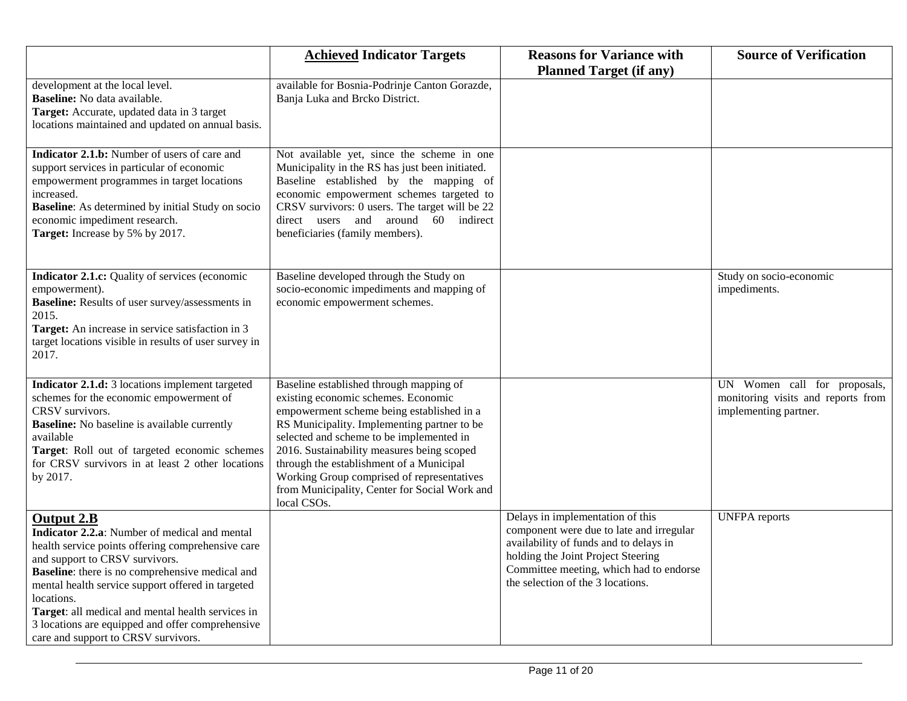|                                                                                                                                                                                                                                                                                                                                                                                                                                         | <b>Achieved Indicator Targets</b>                                                                                                                                                                                                                                                                                                                                                                                              | <b>Reasons for Variance with</b><br><b>Planned Target (if any)</b>                                                                                                                                                                           | <b>Source of Verification</b>                                                               |
|-----------------------------------------------------------------------------------------------------------------------------------------------------------------------------------------------------------------------------------------------------------------------------------------------------------------------------------------------------------------------------------------------------------------------------------------|--------------------------------------------------------------------------------------------------------------------------------------------------------------------------------------------------------------------------------------------------------------------------------------------------------------------------------------------------------------------------------------------------------------------------------|----------------------------------------------------------------------------------------------------------------------------------------------------------------------------------------------------------------------------------------------|---------------------------------------------------------------------------------------------|
| development at the local level.<br>Baseline: No data available.<br>Target: Accurate, updated data in 3 target<br>locations maintained and updated on annual basis.                                                                                                                                                                                                                                                                      | available for Bosnia-Podrinje Canton Gorazde,<br>Banja Luka and Brcko District.                                                                                                                                                                                                                                                                                                                                                |                                                                                                                                                                                                                                              |                                                                                             |
| Indicator 2.1.b: Number of users of care and<br>support services in particular of economic<br>empowerment programmes in target locations<br>increased.<br><b>Baseline:</b> As determined by initial Study on socio<br>economic impediment research.<br>Target: Increase by 5% by 2017.                                                                                                                                                  | Not available yet, since the scheme in one<br>Municipality in the RS has just been initiated.<br>Baseline established by the mapping of<br>economic empowerment schemes targeted to<br>CRSV survivors: 0 users. The target will be 22<br>direct users and around 60 indirect<br>beneficiaries (family members).                                                                                                                |                                                                                                                                                                                                                                              |                                                                                             |
| Indicator 2.1.c: Quality of services (economic<br>empowerment).<br>Baseline: Results of user survey/assessments in<br>2015.<br>Target: An increase in service satisfaction in 3<br>target locations visible in results of user survey in<br>2017.                                                                                                                                                                                       | Baseline developed through the Study on<br>socio-economic impediments and mapping of<br>economic empowerment schemes.                                                                                                                                                                                                                                                                                                          |                                                                                                                                                                                                                                              | Study on socio-economic<br>impediments.                                                     |
| Indicator 2.1.d: 3 locations implement targeted<br>schemes for the economic empowerment of<br>CRSV survivors.<br><b>Baseline:</b> No baseline is available currently<br>available<br>Target: Roll out of targeted economic schemes<br>for CRSV survivors in at least 2 other locations<br>by 2017.                                                                                                                                      | Baseline established through mapping of<br>existing economic schemes. Economic<br>empowerment scheme being established in a<br>RS Municipality. Implementing partner to be<br>selected and scheme to be implemented in<br>2016. Sustainability measures being scoped<br>through the establishment of a Municipal<br>Working Group comprised of representatives<br>from Municipality, Center for Social Work and<br>local CSOs. |                                                                                                                                                                                                                                              | UN Women call for proposals,<br>monitoring visits and reports from<br>implementing partner. |
| <b>Output 2.B</b><br>Indicator 2.2.a: Number of medical and mental<br>health service points offering comprehensive care<br>and support to CRSV survivors.<br><b>Baseline</b> : there is no comprehensive medical and<br>mental health service support offered in targeted<br>locations.<br>Target: all medical and mental health services in<br>3 locations are equipped and offer comprehensive<br>care and support to CRSV survivors. |                                                                                                                                                                                                                                                                                                                                                                                                                                | Delays in implementation of this<br>component were due to late and irregular<br>availability of funds and to delays in<br>holding the Joint Project Steering<br>Committee meeting, which had to endorse<br>the selection of the 3 locations. | <b>UNFPA</b> reports                                                                        |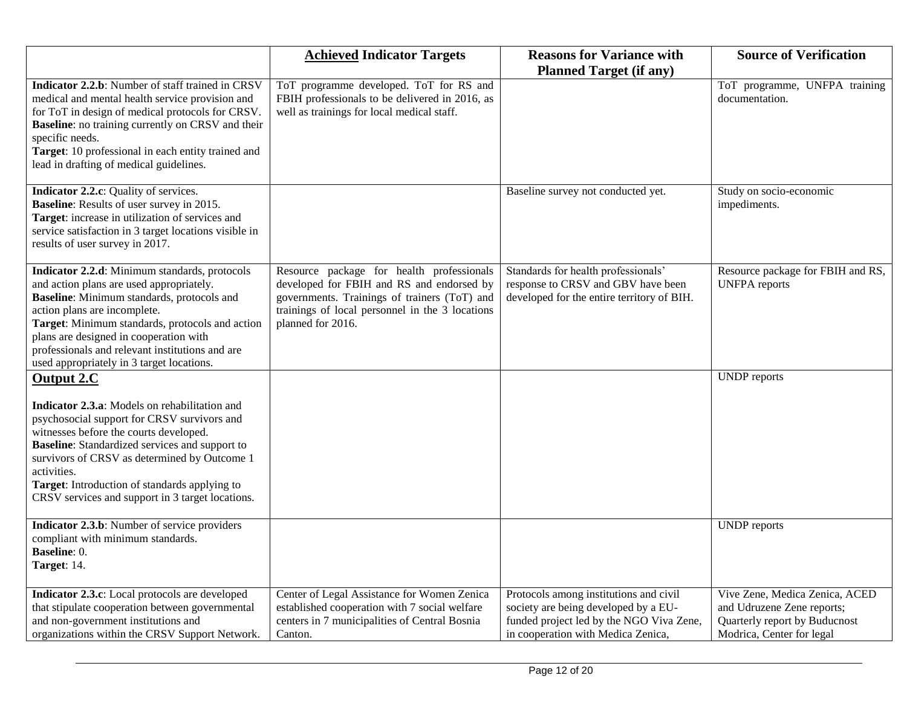|                                                                                                                                                                                                                                                                                                                                                                                   | <b>Achieved Indicator Targets</b>                                                                                                                                                                              | <b>Reasons for Variance with</b>                                                                                                                                 | <b>Source of Verification</b>                                                                                              |
|-----------------------------------------------------------------------------------------------------------------------------------------------------------------------------------------------------------------------------------------------------------------------------------------------------------------------------------------------------------------------------------|----------------------------------------------------------------------------------------------------------------------------------------------------------------------------------------------------------------|------------------------------------------------------------------------------------------------------------------------------------------------------------------|----------------------------------------------------------------------------------------------------------------------------|
| Indicator 2.2.b: Number of staff trained in CRSV<br>medical and mental health service provision and<br>for ToT in design of medical protocols for CRSV.<br><b>Baseline</b> : no training currently on CRSV and their<br>specific needs.<br>Target: 10 professional in each entity trained and<br>lead in drafting of medical guidelines.                                          | ToT programme developed. ToT for RS and<br>FBIH professionals to be delivered in 2016, as<br>well as trainings for local medical staff.                                                                        | <b>Planned Target (if any)</b>                                                                                                                                   | ToT programme, UNFPA training<br>documentation.                                                                            |
| Indicator 2.2.c: Quality of services.<br><b>Baseline:</b> Results of user survey in 2015.<br>Target: increase in utilization of services and<br>service satisfaction in 3 target locations visible in<br>results of user survey in 2017.                                                                                                                                          |                                                                                                                                                                                                                | Baseline survey not conducted yet.                                                                                                                               | Study on socio-economic<br>impediments.                                                                                    |
| Indicator 2.2.d: Minimum standards, protocols<br>and action plans are used appropriately.<br>Baseline: Minimum standards, protocols and<br>action plans are incomplete.<br>Target: Minimum standards, protocols and action<br>plans are designed in cooperation with<br>professionals and relevant institutions and are<br>used appropriately in 3 target locations.              | Resource package for health professionals<br>developed for FBIH and RS and endorsed by<br>governments. Trainings of trainers (ToT) and<br>trainings of local personnel in the 3 locations<br>planned for 2016. | Standards for health professionals'<br>response to CRSV and GBV have been<br>developed for the entire territory of BIH.                                          | Resource package for FBIH and RS,<br><b>UNFPA</b> reports                                                                  |
| Output 2.C<br>Indicator 2.3.a: Models on rehabilitation and<br>psychosocial support for CRSV survivors and<br>witnesses before the courts developed.<br><b>Baseline:</b> Standardized services and support to<br>survivors of CRSV as determined by Outcome 1<br>activities.<br>Target: Introduction of standards applying to<br>CRSV services and support in 3 target locations. |                                                                                                                                                                                                                |                                                                                                                                                                  | <b>UNDP</b> reports                                                                                                        |
| Indicator 2.3.b: Number of service providers<br>compliant with minimum standards.<br>Baseline: 0.<br>Target: 14.                                                                                                                                                                                                                                                                  |                                                                                                                                                                                                                |                                                                                                                                                                  | <b>UNDP</b> reports                                                                                                        |
| Indicator 2.3.c: Local protocols are developed<br>that stipulate cooperation between governmental<br>and non-government institutions and<br>organizations within the CRSV Support Network.                                                                                                                                                                                        | Center of Legal Assistance for Women Zenica<br>established cooperation with 7 social welfare<br>centers in 7 municipalities of Central Bosnia<br>Canton.                                                       | Protocols among institutions and civil<br>society are being developed by a EU-<br>funded project led by the NGO Viva Zene,<br>in cooperation with Medica Zenica, | Vive Zene, Medica Zenica, ACED<br>and Udruzene Zene reports;<br>Quarterly report by Buducnost<br>Modrica, Center for legal |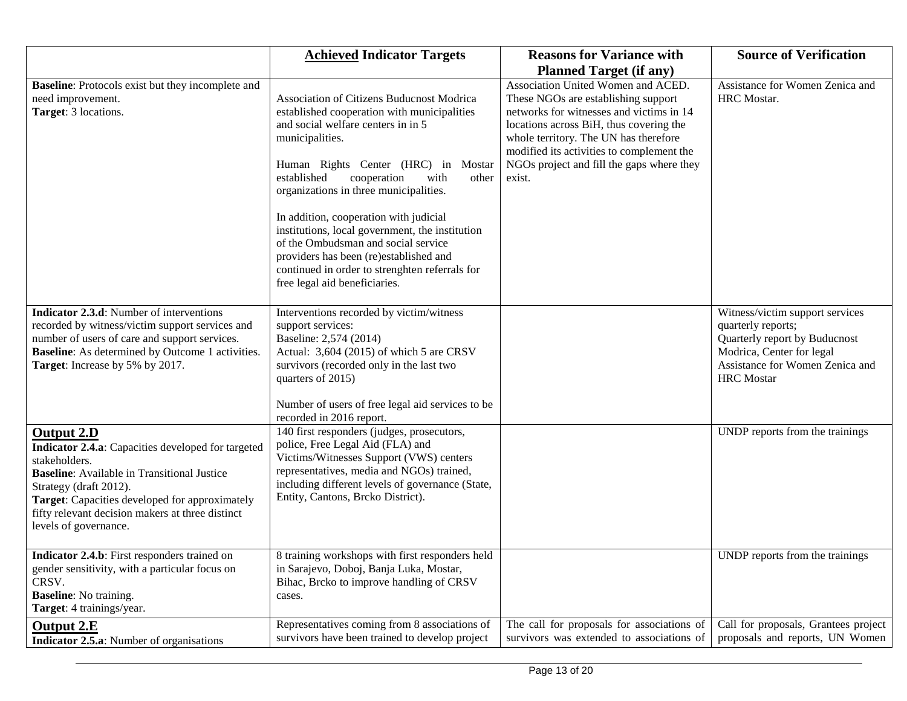|                                                                                                                                                                                                                                                                                                         | <b>Achieved Indicator Targets</b>                                                                                                                                                                                                                                                                                                                                                                                                                                                                                                                  | <b>Reasons for Variance with</b>                                                                                                                                                                                                                                                                                                                | <b>Source of Verification</b>                                                                                                                                               |
|---------------------------------------------------------------------------------------------------------------------------------------------------------------------------------------------------------------------------------------------------------------------------------------------------------|----------------------------------------------------------------------------------------------------------------------------------------------------------------------------------------------------------------------------------------------------------------------------------------------------------------------------------------------------------------------------------------------------------------------------------------------------------------------------------------------------------------------------------------------------|-------------------------------------------------------------------------------------------------------------------------------------------------------------------------------------------------------------------------------------------------------------------------------------------------------------------------------------------------|-----------------------------------------------------------------------------------------------------------------------------------------------------------------------------|
| <b>Baseline:</b> Protocols exist but they incomplete and<br>need improvement.<br>Target: 3 locations.                                                                                                                                                                                                   | Association of Citizens Buducnost Modrica<br>established cooperation with municipalities<br>and social welfare centers in in 5<br>municipalities.<br>Human Rights Center (HRC) in Mostar<br>established<br>cooperation<br>with<br>other<br>organizations in three municipalities.<br>In addition, cooperation with judicial<br>institutions, local government, the institution<br>of the Ombudsman and social service<br>providers has been (re)established and<br>continued in order to strenghten referrals for<br>free legal aid beneficiaries. | <b>Planned Target (if any)</b><br>Association United Women and ACED.<br>These NGOs are establishing support<br>networks for witnesses and victims in 14<br>locations across BiH, thus covering the<br>whole territory. The UN has therefore<br>modified its activities to complement the<br>NGOs project and fill the gaps where they<br>exist. | Assistance for Women Zenica and<br>HRC Mostar.                                                                                                                              |
| <b>Indicator 2.3.d:</b> Number of interventions<br>recorded by witness/victim support services and<br>number of users of care and support services.<br>Baseline: As determined by Outcome 1 activities.<br>Target: Increase by 5% by 2017.                                                              | Interventions recorded by victim/witness<br>support services:<br>Baseline: 2,574 (2014)<br>Actual: 3,604 (2015) of which 5 are CRSV<br>survivors (recorded only in the last two<br>quarters of 2015)<br>Number of users of free legal aid services to be<br>recorded in 2016 report.                                                                                                                                                                                                                                                               |                                                                                                                                                                                                                                                                                                                                                 | Witness/victim support services<br>quarterly reports;<br>Quarterly report by Buducnost<br>Modrica, Center for legal<br>Assistance for Women Zenica and<br><b>HRC</b> Mostar |
| <b>Output 2.D</b><br>Indicator 2.4.a: Capacities developed for targeted<br>stakeholders.<br><b>Baseline:</b> Available in Transitional Justice<br>Strategy (draft 2012).<br>Target: Capacities developed for approximately<br>fifty relevant decision makers at three distinct<br>levels of governance. | 140 first responders (judges, prosecutors,<br>police, Free Legal Aid (FLA) and<br>Victims/Witnesses Support (VWS) centers<br>representatives, media and NGOs) trained,<br>including different levels of governance (State,<br>Entity, Cantons, Brcko District).                                                                                                                                                                                                                                                                                    |                                                                                                                                                                                                                                                                                                                                                 | UNDP reports from the trainings                                                                                                                                             |
| Indicator 2.4.b: First responders trained on<br>gender sensitivity, with a particular focus on<br>CRSV.<br><b>Baseline:</b> No training.<br>Target: 4 trainings/year.                                                                                                                                   | 8 training workshops with first responders held<br>in Sarajevo, Doboj, Banja Luka, Mostar,<br>Bihac, Brcko to improve handling of CRSV<br>cases.                                                                                                                                                                                                                                                                                                                                                                                                   |                                                                                                                                                                                                                                                                                                                                                 | UNDP reports from the trainings                                                                                                                                             |
| <b>Output 2.E</b><br><b>Indicator 2.5.a:</b> Number of organisations                                                                                                                                                                                                                                    | Representatives coming from 8 associations of<br>survivors have been trained to develop project                                                                                                                                                                                                                                                                                                                                                                                                                                                    | The call for proposals for associations of<br>survivors was extended to associations of                                                                                                                                                                                                                                                         | Call for proposals, Grantees project<br>proposals and reports, UN Women                                                                                                     |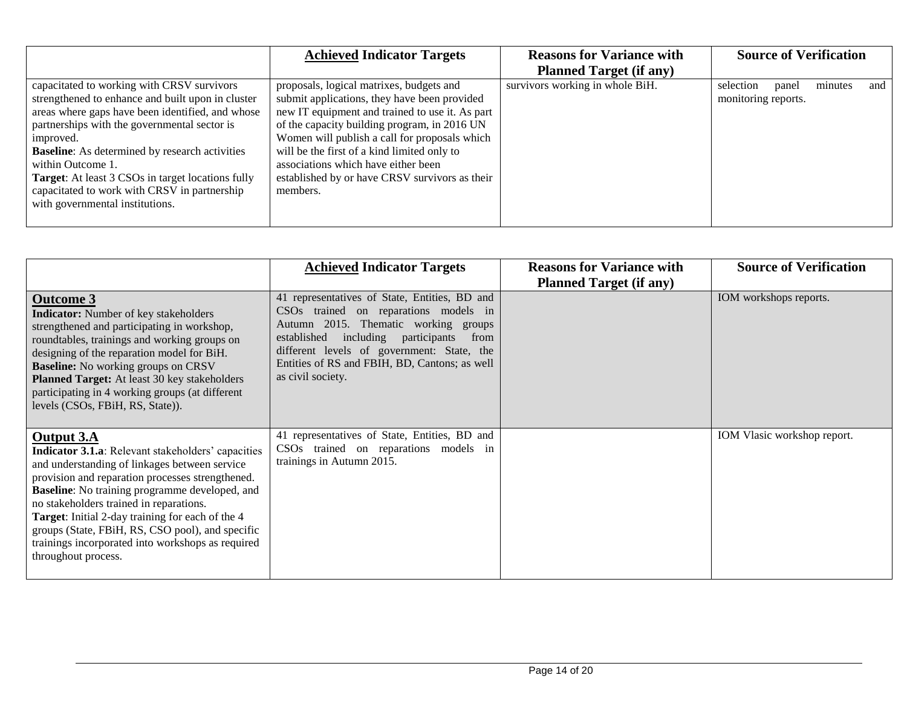|                                                          | <b>Achieved Indicator Targets</b>               | <b>Reasons for Variance with</b> | <b>Source of Verification</b>        |
|----------------------------------------------------------|-------------------------------------------------|----------------------------------|--------------------------------------|
|                                                          |                                                 | <b>Planned Target (if any)</b>   |                                      |
| capacitated to working with CRSV survivors               | proposals, logical matrixes, budgets and        | survivors working in whole BiH.  | minutes<br>selection<br>panel<br>and |
| strengthened to enhance and built upon in cluster        | submit applications, they have been provided    |                                  | monitoring reports.                  |
| areas where gaps have been identified, and whose         | new IT equipment and trained to use it. As part |                                  |                                      |
| partnerships with the governmental sector is             | of the capacity building program, in 2016 UN    |                                  |                                      |
| improved.                                                | Women will publish a call for proposals which   |                                  |                                      |
| <b>Baseline:</b> As determined by research activities    | will be the first of a kind limited only to     |                                  |                                      |
| within Outcome 1.                                        | associations which have either been             |                                  |                                      |
| <b>Target:</b> At least 3 CSOs in target locations fully | established by or have CRSV survivors as their  |                                  |                                      |
| capacitated to work with CRSV in partnership             | members.                                        |                                  |                                      |
| with governmental institutions.                          |                                                 |                                  |                                      |
|                                                          |                                                 |                                  |                                      |
|                                                          |                                                 |                                  |                                      |

|                                                                                                                                                                                                                                                                                                                                                                                                                                                                       | <b>Achieved Indicator Targets</b>                                                                                                                                                                                                                                                                   | <b>Reasons for Variance with</b><br><b>Planned Target (if any)</b> | <b>Source of Verification</b> |
|-----------------------------------------------------------------------------------------------------------------------------------------------------------------------------------------------------------------------------------------------------------------------------------------------------------------------------------------------------------------------------------------------------------------------------------------------------------------------|-----------------------------------------------------------------------------------------------------------------------------------------------------------------------------------------------------------------------------------------------------------------------------------------------------|--------------------------------------------------------------------|-------------------------------|
| <b>Outcome 3</b><br><b>Indicator:</b> Number of key stakeholders<br>strengthened and participating in workshop,<br>roundtables, trainings and working groups on<br>designing of the reparation model for BiH.<br><b>Baseline:</b> No working groups on CRSV<br>Planned Target: At least 30 key stakeholders<br>participating in 4 working groups (at different<br>levels (CSOs, FBiH, RS, State)).                                                                    | 41 representatives of State, Entities, BD and<br>CSOs trained on reparations models in<br>Autumn 2015. Thematic working groups<br>including participants<br>established<br>from<br>different levels of government: State, the<br>Entities of RS and FBIH, BD, Cantons; as well<br>as civil society. |                                                                    | IOM workshops reports.        |
| Output 3.A<br><b>Indicator 3.1.a</b> : Relevant stakeholders' capacities<br>and understanding of linkages between service<br>provision and reparation processes strengthened.<br><b>Baseline:</b> No training programme developed, and<br>no stakeholders trained in reparations.<br>Target: Initial 2-day training for each of the 4<br>groups (State, FBiH, RS, CSO pool), and specific<br>trainings incorporated into workshops as required<br>throughout process. | 41 representatives of State, Entities, BD and<br>CSOs trained on reparations models in<br>trainings in Autumn 2015.                                                                                                                                                                                 |                                                                    | IOM Vlasic workshop report.   |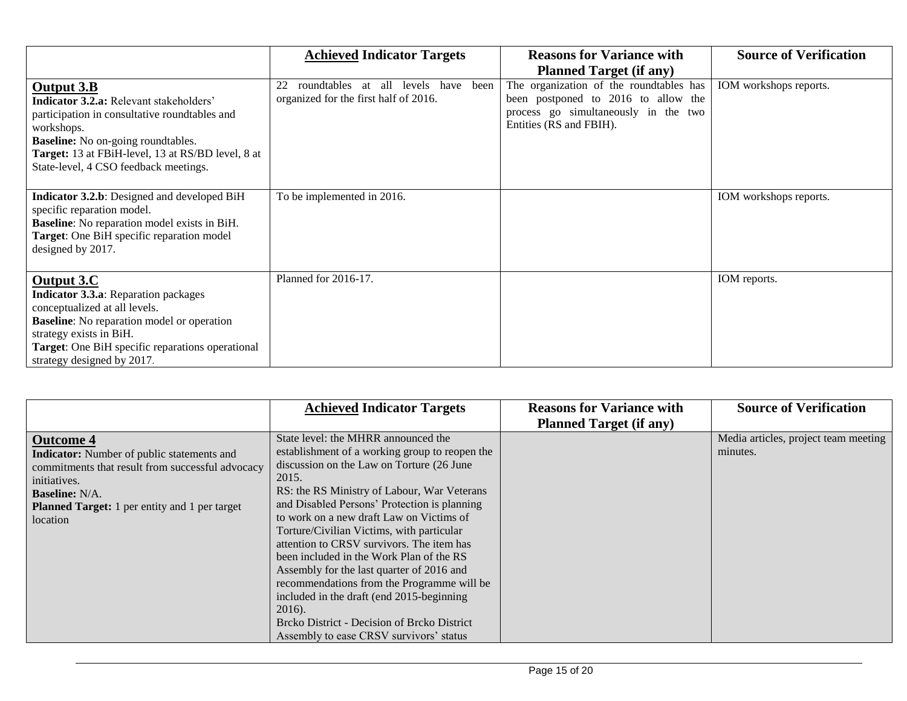|                                                                                                                                                                                                                                                                        | <b>Achieved Indicator Targets</b>                                                                 | <b>Reasons for Variance with</b>                                                                                                                  | <b>Source of Verification</b> |
|------------------------------------------------------------------------------------------------------------------------------------------------------------------------------------------------------------------------------------------------------------------------|---------------------------------------------------------------------------------------------------|---------------------------------------------------------------------------------------------------------------------------------------------------|-------------------------------|
|                                                                                                                                                                                                                                                                        |                                                                                                   | <b>Planned Target (if any)</b>                                                                                                                    |                               |
| Output 3.B<br><b>Indicator 3.2.a:</b> Relevant stakeholders'<br>participation in consultative roundtables and<br>workshops.<br><b>Baseline:</b> No on-going roundtables.<br>Target: 13 at FBiH-level, 13 at RS/BD level, 8 at<br>State-level, 4 CSO feedback meetings. | roundtables<br>levels<br>22<br>all<br>have<br>been<br>at<br>organized for the first half of 2016. | The organization of the roundtables has<br>been postponed to 2016 to allow the<br>process go simultaneously in the two<br>Entities (RS and FBIH). | IOM workshops reports.        |
| Indicator 3.2.b: Designed and developed BiH<br>specific reparation model.<br><b>Baseline:</b> No reparation model exists in BiH.<br>Target: One BiH specific reparation model<br>designed by 2017.                                                                     | To be implemented in 2016.                                                                        |                                                                                                                                                   | IOM workshops reports.        |
| Output 3.C<br><b>Indicator 3.3.a:</b> Reparation packages<br>conceptualized at all levels.<br><b>Baseline:</b> No reparation model or operation<br>strategy exists in BiH.<br><b>Target:</b> One BiH specific reparations operational<br>strategy designed by 2017.    | Planned for 2016-17.                                                                              |                                                                                                                                                   | IOM reports.                  |

|                                                                                                                                                                                                                                        | <b>Achieved Indicator Targets</b>                                                                                                                                                                                                                                                                                                                                                                                                                                                                                                                                                  | <b>Reasons for Variance with</b> | <b>Source of Verification</b>                    |
|----------------------------------------------------------------------------------------------------------------------------------------------------------------------------------------------------------------------------------------|------------------------------------------------------------------------------------------------------------------------------------------------------------------------------------------------------------------------------------------------------------------------------------------------------------------------------------------------------------------------------------------------------------------------------------------------------------------------------------------------------------------------------------------------------------------------------------|----------------------------------|--------------------------------------------------|
|                                                                                                                                                                                                                                        |                                                                                                                                                                                                                                                                                                                                                                                                                                                                                                                                                                                    |                                  |                                                  |
| <b>Outcome 4</b><br><b>Indicator:</b> Number of public statements and<br>commitments that result from successful advocacy<br>initiatives.<br><b>Baseline:</b> N/A.<br><b>Planned Target:</b> 1 per entity and 1 per target<br>location | State level: the MHRR announced the<br>establishment of a working group to reopen the<br>discussion on the Law on Torture (26 June<br>2015.<br>RS: the RS Ministry of Labour, War Veterans<br>and Disabled Persons' Protection is planning<br>to work on a new draft Law on Victims of<br>Torture/Civilian Victims, with particular<br>attention to CRSV survivors. The item has<br>been included in the Work Plan of the RS<br>Assembly for the last quarter of 2016 and<br>recommendations from the Programme will be<br>included in the draft (end 2015-beginning)<br>$2016$ ). | <b>Planned Target (if any)</b>   | Media articles, project team meeting<br>minutes. |
|                                                                                                                                                                                                                                        | Brcko District - Decision of Brcko District<br>Assembly to ease CRSV survivors' status                                                                                                                                                                                                                                                                                                                                                                                                                                                                                             |                                  |                                                  |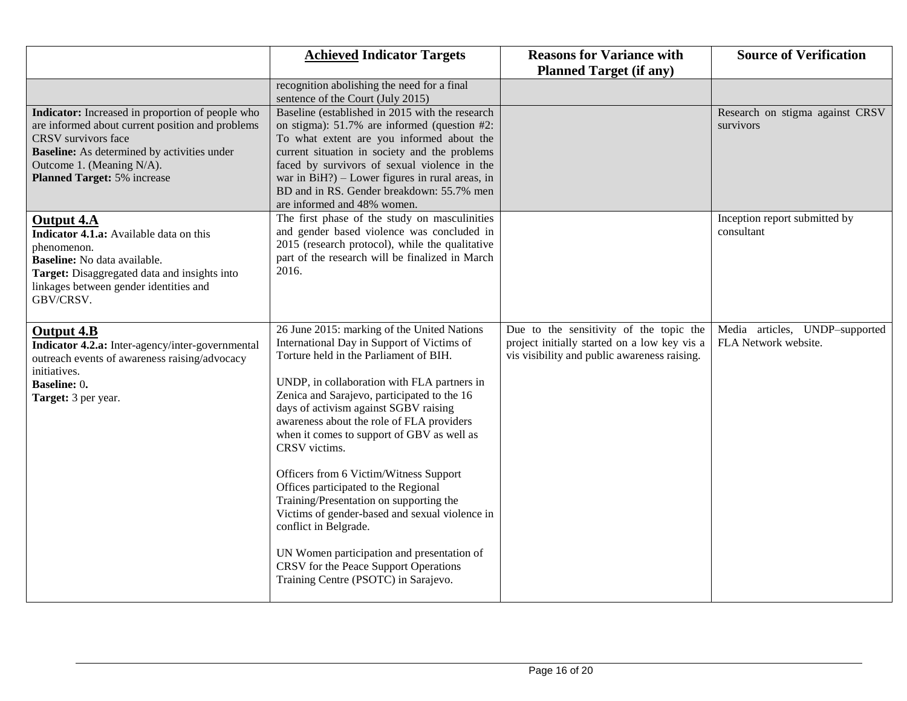|                                                                                                                                                                                                                                                      | <b>Achieved Indicator Targets</b>                                                                                                                                                                                                                                                                                                                                                                                                                                                                                                                                                                                                                                                                                             | <b>Reasons for Variance with</b><br><b>Planned Target (if any)</b>                                                                      | <b>Source of Verification</b>                          |
|------------------------------------------------------------------------------------------------------------------------------------------------------------------------------------------------------------------------------------------------------|-------------------------------------------------------------------------------------------------------------------------------------------------------------------------------------------------------------------------------------------------------------------------------------------------------------------------------------------------------------------------------------------------------------------------------------------------------------------------------------------------------------------------------------------------------------------------------------------------------------------------------------------------------------------------------------------------------------------------------|-----------------------------------------------------------------------------------------------------------------------------------------|--------------------------------------------------------|
|                                                                                                                                                                                                                                                      |                                                                                                                                                                                                                                                                                                                                                                                                                                                                                                                                                                                                                                                                                                                               |                                                                                                                                         |                                                        |
|                                                                                                                                                                                                                                                      | recognition abolishing the need for a final<br>sentence of the Court (July 2015)                                                                                                                                                                                                                                                                                                                                                                                                                                                                                                                                                                                                                                              |                                                                                                                                         |                                                        |
| Indicator: Increased in proportion of people who<br>are informed about current position and problems<br>CRSV survivors face<br><b>Baseline:</b> As determined by activities under<br>Outcome 1. (Meaning N/A).<br><b>Planned Target: 5% increase</b> | Baseline (established in 2015 with the research<br>on stigma): $51.7\%$ are informed (question #2:<br>To what extent are you informed about the<br>current situation in society and the problems<br>faced by survivors of sexual violence in the<br>war in $BiH$ ?) – Lower figures in rural areas, in<br>BD and in RS. Gender breakdown: 55.7% men<br>are informed and 48% women.                                                                                                                                                                                                                                                                                                                                            |                                                                                                                                         | Research on stigma against CRSV<br>survivors           |
| <b>Output 4.A</b><br>Indicator 4.1.a: Available data on this<br>phenomenon.<br>Baseline: No data available.<br>Target: Disaggregated data and insights into<br>linkages between gender identities and<br>GBV/CRSV.                                   | The first phase of the study on masculinities<br>and gender based violence was concluded in<br>2015 (research protocol), while the qualitative<br>part of the research will be finalized in March<br>2016.                                                                                                                                                                                                                                                                                                                                                                                                                                                                                                                    |                                                                                                                                         | Inception report submitted by<br>consultant            |
| Output 4.B<br>Indicator 4.2.a: Inter-agency/inter-governmental<br>outreach events of awareness raising/advocacy<br>initiatives.<br><b>Baseline: 0.</b><br>Target: 3 per year.                                                                        | 26 June 2015: marking of the United Nations<br>International Day in Support of Victims of<br>Torture held in the Parliament of BIH.<br>UNDP, in collaboration with FLA partners in<br>Zenica and Sarajevo, participated to the 16<br>days of activism against SGBV raising<br>awareness about the role of FLA providers<br>when it comes to support of GBV as well as<br>CRSV victims.<br>Officers from 6 Victim/Witness Support<br>Offices participated to the Regional<br>Training/Presentation on supporting the<br>Victims of gender-based and sexual violence in<br>conflict in Belgrade.<br>UN Women participation and presentation of<br>CRSV for the Peace Support Operations<br>Training Centre (PSOTC) in Sarajevo. | Due to the sensitivity of the topic the<br>project initially started on a low key vis a<br>vis visibility and public awareness raising. | Media articles, UNDP-supported<br>FLA Network website. |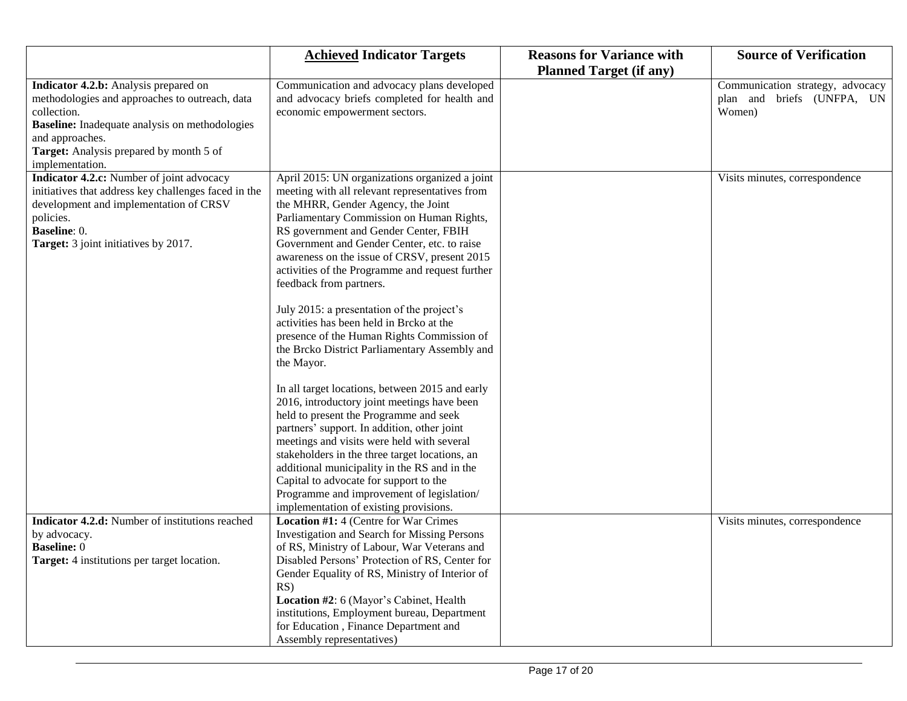|                                                                                                                                                                                                                                                  | <b>Achieved Indicator Targets</b>                                                                                                                                                                                                                                                                                                                                                                                                                                                                                                                                                                                                                                                                                                                                                                                                                                                                                                                                                                                                                                                            | <b>Reasons for Variance with</b> | <b>Source of Verification</b>                                            |
|--------------------------------------------------------------------------------------------------------------------------------------------------------------------------------------------------------------------------------------------------|----------------------------------------------------------------------------------------------------------------------------------------------------------------------------------------------------------------------------------------------------------------------------------------------------------------------------------------------------------------------------------------------------------------------------------------------------------------------------------------------------------------------------------------------------------------------------------------------------------------------------------------------------------------------------------------------------------------------------------------------------------------------------------------------------------------------------------------------------------------------------------------------------------------------------------------------------------------------------------------------------------------------------------------------------------------------------------------------|----------------------------------|--------------------------------------------------------------------------|
|                                                                                                                                                                                                                                                  |                                                                                                                                                                                                                                                                                                                                                                                                                                                                                                                                                                                                                                                                                                                                                                                                                                                                                                                                                                                                                                                                                              | <b>Planned Target (if any)</b>   |                                                                          |
| Indicator 4.2.b: Analysis prepared on<br>methodologies and approaches to outreach, data<br>collection.<br><b>Baseline:</b> Inadequate analysis on methodologies<br>and approaches.<br>Target: Analysis prepared by month 5 of<br>implementation. | Communication and advocacy plans developed<br>and advocacy briefs completed for health and<br>economic empowerment sectors.                                                                                                                                                                                                                                                                                                                                                                                                                                                                                                                                                                                                                                                                                                                                                                                                                                                                                                                                                                  |                                  | Communication strategy, advocacy<br>plan and briefs (UNFPA, UN<br>Women) |
| Indicator 4.2.c: Number of joint advocacy<br>initiatives that address key challenges faced in the<br>development and implementation of CRSV<br>policies.<br>Baseline: 0.<br>Target: 3 joint initiatives by 2017.                                 | April 2015: UN organizations organized a joint<br>meeting with all relevant representatives from<br>the MHRR, Gender Agency, the Joint<br>Parliamentary Commission on Human Rights,<br>RS government and Gender Center, FBIH<br>Government and Gender Center, etc. to raise<br>awareness on the issue of CRSV, present 2015<br>activities of the Programme and request further<br>feedback from partners.<br>July 2015: a presentation of the project's<br>activities has been held in Brcko at the<br>presence of the Human Rights Commission of<br>the Brcko District Parliamentary Assembly and<br>the Mayor.<br>In all target locations, between 2015 and early<br>2016, introductory joint meetings have been<br>held to present the Programme and seek<br>partners' support. In addition, other joint<br>meetings and visits were held with several<br>stakeholders in the three target locations, an<br>additional municipality in the RS and in the<br>Capital to advocate for support to the<br>Programme and improvement of legislation/<br>implementation of existing provisions. |                                  | Visits minutes, correspondence                                           |
| Indicator 4.2.d: Number of institutions reached<br>by advocacy.<br><b>Baseline: 0</b><br>Target: 4 institutions per target location.                                                                                                             | Location #1: 4 (Centre for War Crimes<br><b>Investigation and Search for Missing Persons</b><br>of RS, Ministry of Labour, War Veterans and<br>Disabled Persons' Protection of RS, Center for<br>Gender Equality of RS, Ministry of Interior of<br>RS)                                                                                                                                                                                                                                                                                                                                                                                                                                                                                                                                                                                                                                                                                                                                                                                                                                       |                                  | Visits minutes, correspondence                                           |
|                                                                                                                                                                                                                                                  | Location #2: 6 (Mayor's Cabinet, Health<br>institutions, Employment bureau, Department<br>for Education, Finance Department and<br>Assembly representatives)                                                                                                                                                                                                                                                                                                                                                                                                                                                                                                                                                                                                                                                                                                                                                                                                                                                                                                                                 |                                  |                                                                          |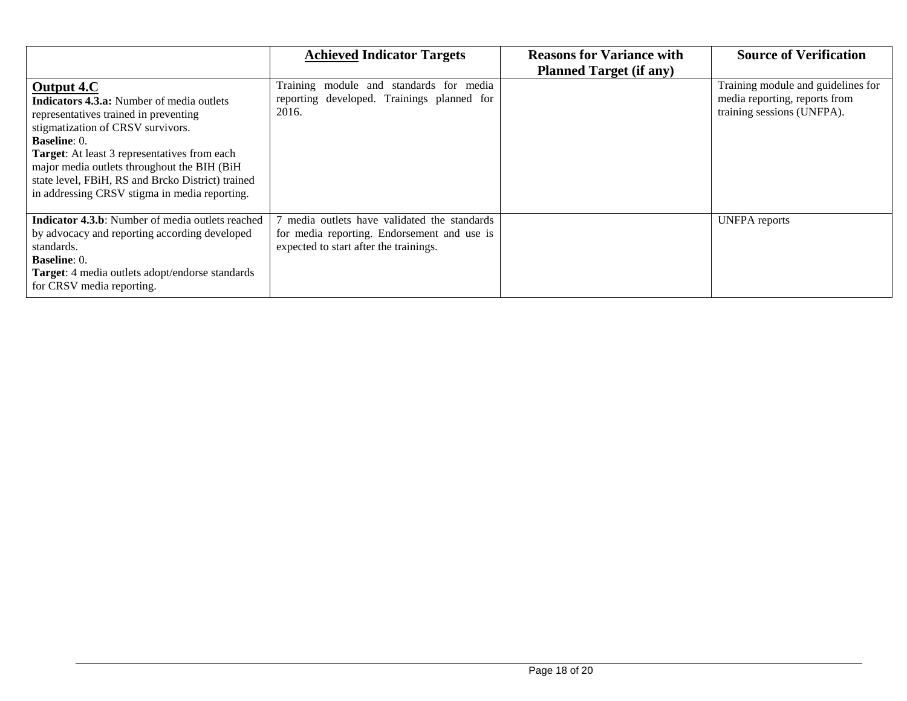|                                                                                                                                                                                                                                                                                                                                                                                  | <b>Achieved Indicator Targets</b>                                                                                                   | <b>Reasons for Variance with</b><br><b>Planned Target (if any)</b> | <b>Source of Verification</b>                                                                     |
|----------------------------------------------------------------------------------------------------------------------------------------------------------------------------------------------------------------------------------------------------------------------------------------------------------------------------------------------------------------------------------|-------------------------------------------------------------------------------------------------------------------------------------|--------------------------------------------------------------------|---------------------------------------------------------------------------------------------------|
| Output 4.C<br><b>Indicators 4.3.a:</b> Number of media outlets<br>representatives trained in preventing<br>stigmatization of CRSV survivors.<br><b>Baseline</b> : 0.<br><b>Target:</b> At least 3 representatives from each<br>major media outlets throughout the BIH (BiH<br>state level, FBiH, RS and Brcko District) trained<br>in addressing CRSV stigma in media reporting. | Training module and standards for media<br>reporting developed. Trainings planned for<br>2016.                                      |                                                                    | Training module and guidelines for<br>media reporting, reports from<br>training sessions (UNFPA). |
| <b>Indicator 4.3.b</b> : Number of media outlets reached<br>by advocacy and reporting according developed<br>standards.<br><b>Baseline: 0.</b><br>Target: 4 media outlets adopt/endorse standards<br>for CRSV media reporting.                                                                                                                                                   | media outlets have validated the standards<br>for media reporting. Endorsement and use is<br>expected to start after the trainings. |                                                                    | <b>UNFPA</b> reports                                                                              |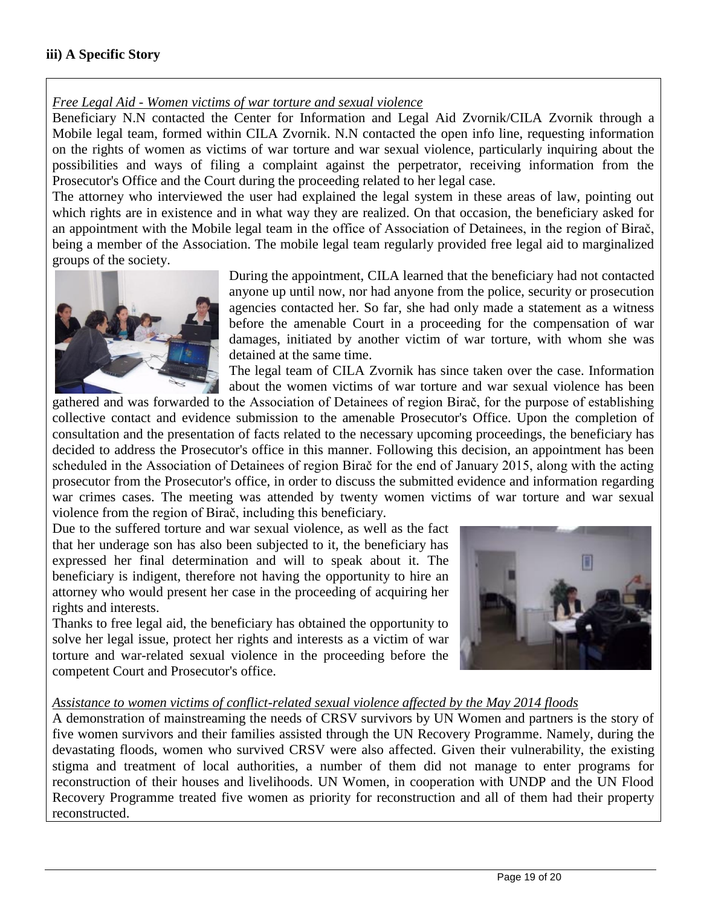#### *Free Legal Aid - Women victims of war torture and sexual violence*

Beneficiary N.N contacted the Center for Information and Legal Aid Zvornik/CILA Zvornik through a Mobile legal team, formed within CILA Zvornik. N.N contacted the open info line, requesting information on the rights of women as victims of war torture and war sexual violence, particularly inquiring about the possibilities and ways of filing a complaint against the perpetrator, receiving information from the Prosecutor's Office and the Court during the proceeding related to her legal case.

The attorney who interviewed the user had explained the legal system in these areas of law, pointing out which rights are in existence and in what way they are realized. On that occasion, the beneficiary asked for an appointment with the Mobile legal team in the office of Association of Detainees, in the region of Birač, being a member of the Association. The mobile legal team regularly provided free legal aid to marginalized groups of the society.



During the appointment, CILA learned that the beneficiary had not contacted anyone up until now, nor had anyone from the police, security or prosecution agencies contacted her. So far, she had only made a statement as a witness before the amenable Court in a proceeding for the compensation of war damages, initiated by another victim of war torture, with whom she was detained at the same time.

The legal team of CILA Zvornik has since taken over the case. Information about the women victims of war torture and war sexual violence has been

gathered and was forwarded to the Association of Detainees of region Birač, for the purpose of establishing collective contact and evidence submission to the amenable Prosecutor's Office. Upon the completion of consultation and the presentation of facts related to the necessary upcoming proceedings, the beneficiary has decided to address the Prosecutor's office in this manner. Following this decision, an appointment has been scheduled in the Association of Detainees of region Birač for the end of January 2015, along with the acting prosecutor from the Prosecutor's office, in order to discuss the submitted evidence and information regarding war crimes cases. The meeting was attended by twenty women victims of war torture and war sexual violence from the region of Birač, including this beneficiary.

Due to the suffered torture and war sexual violence, as well as the fact that her underage son has also been subjected to it, the beneficiary has expressed her final determination and will to speak about it. The beneficiary is indigent, therefore not having the opportunity to hire an attorney who would present her case in the proceeding of acquiring her rights and interests.

Thanks to free legal aid, the beneficiary has obtained the opportunity to solve her legal issue, protect her rights and interests as a victim of war torture and war-related sexual violence in the proceeding before the competent Court and Prosecutor's office.



### *Assistance to women victims of conflict-related sexual violence affected by the May 2014 floods*

A demonstration of mainstreaming the needs of CRSV survivors by UN Women and partners is the story of five women survivors and their families assisted through the UN Recovery Programme. Namely, during the devastating floods, women who survived CRSV were also affected. Given their vulnerability, the existing stigma and treatment of local authorities, a number of them did not manage to enter programs for reconstruction of their houses and livelihoods. UN Women, in cooperation with UNDP and the UN Flood Recovery Programme treated five women as priority for reconstruction and all of them had their property reconstructed.